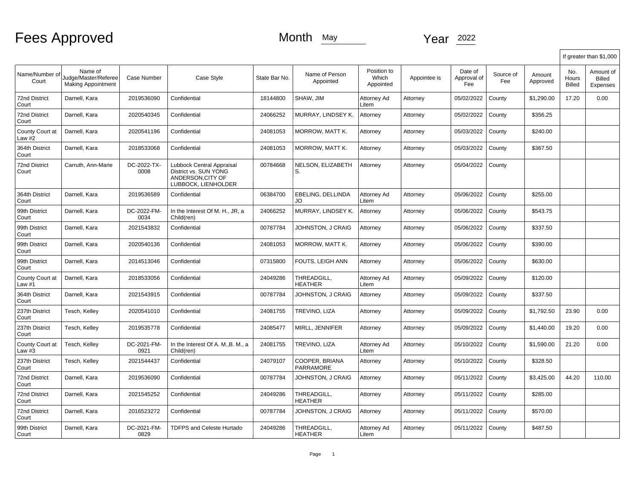|                               |                                                              |                     |                                                                                               |               |                               |                                   |              |                               |                  |                    |                        | If greater than \$1,000                |
|-------------------------------|--------------------------------------------------------------|---------------------|-----------------------------------------------------------------------------------------------|---------------|-------------------------------|-----------------------------------|--------------|-------------------------------|------------------|--------------------|------------------------|----------------------------------------|
| Name/Number of<br>Court       | Name of<br>Judge/Master/Referee<br><b>Making Appointment</b> | Case Number         | Case Style                                                                                    | State Bar No. | Name of Person<br>Appointed   | Position to<br>Which<br>Appointed | Appointee is | Date of<br>Approval of<br>Fee | Source of<br>Fee | Amount<br>Approved | No.<br>Hours<br>Billed | Amount of<br><b>Billed</b><br>Expenses |
| <b>72nd District</b><br>Court | Darnell, Kara                                                | 2019536090          | Confidential                                                                                  | 18144800      | SHAW, JIM                     | Attorney Ad<br>Litem              | Attorney     | 05/02/2022                    | County           | \$1,290.00         | 17.20                  | 0.00                                   |
| <b>72nd District</b><br>Court | Darnell, Kara                                                | 2020540345          | Confidential                                                                                  | 24066252      | MURRAY, LINDSEY K.            | Attorney                          | Attorney     | 05/02/2022                    | County           | \$356.25           |                        |                                        |
| County Court at<br>Law #2     | Darnell, Kara                                                | 2020541196          | Confidential                                                                                  | 24081053      | MORROW, MATT K.               | Attorney                          | Attorney     | 05/03/2022                    | County           | \$240.00           |                        |                                        |
| 364th District<br>Court       | Darnell, Kara                                                | 2018533068          | Confidential                                                                                  | 24081053      | MORROW, MATT K.               | Attorney                          | Attorney     | 05/03/2022                    | County           | \$367.50           |                        |                                        |
| <b>72nd District</b><br>Court | Carruth, Ann-Marie                                           | DC-2022-TX-<br>0008 | Lubbock Central Appraisal<br>District vs. SUN YONG<br>ANDERSON.CITY OF<br>LUBBOCK, LIENHOLDER | 00784668      | NELSON, ELIZABETH<br>S.       | Attorney                          | Attorney     | 05/04/2022                    | County           |                    |                        |                                        |
| 364th District<br>Court       | Darnell, Kara                                                | 2019536589          | Confidential                                                                                  | 06384700      | EBELING. DELLINDA<br>JO       | Attorney Ad<br>Litem              | Attorney     | 05/06/2022                    | County           | \$255.00           |                        |                                        |
| 99th District<br>Court        | Darnell, Kara                                                | DC-2022-FM-<br>0034 | In the Interest Of M. H., JR, a<br>Child(ren)                                                 | 24066252      | MURRAY, LINDSEY K.            | Attorney                          | Attorney     | 05/06/2022                    | County           | \$543.75           |                        |                                        |
| 99th District<br>Court        | Darnell, Kara                                                | 2021543832          | Confidential                                                                                  | 00787784      | JOHNSTON, J CRAIG             | Attorney                          | Attorney     | 05/06/2022                    | County           | \$337.50           |                        |                                        |
| 99th District<br>Court        | Darnell, Kara                                                | 2020540136          | Confidential                                                                                  | 24081053      | MORROW, MATT K.               | Attorney                          | Attorney     | 05/06/2022                    | County           | \$390.00           |                        |                                        |
| 99th District<br>Court        | Darnell, Kara                                                | 2014513046          | Confidential                                                                                  | 07315800      | FOUTS, LEIGH ANN              | Attorney                          | Attorney     | 05/06/2022                    | County           | \$630.00           |                        |                                        |
| County Court at<br>Law #1     | Darnell, Kara                                                | 2018533056          | Confidential                                                                                  | 24049286      | THREADGILL,<br>HEATHER        | Attorney Ad<br>Litem              | Attorney     | 05/09/2022                    | County           | \$120.00           |                        |                                        |
| 364th District<br>Court       | Darnell, Kara                                                | 2021543915          | Confidential                                                                                  | 00787784      | JOHNSTON, J CRAIG             | Attorney                          | Attorney     | 05/09/2022                    | County           | \$337.50           |                        |                                        |
| 237th District<br>Court       | Tesch, Kelley                                                | 2020541010          | Confidential                                                                                  | 24081755      | TREVINO, LIZA                 | Attorney                          | Attorney     | 05/09/2022                    | County           | \$1,792.50         | 23.90                  | 0.00                                   |
| 237th District<br>Court       | Tesch, Kelley                                                | 2019535778          | Confidential                                                                                  | 24085477      | MIRLL, JENNIFER               | Attorney                          | Attorney     | 05/09/2022                    | County           | \$1,440.00         | 19.20                  | 0.00                                   |
| County Court at<br>Law #3     | Tesch, Kelley                                                | DC-2021-FM-<br>0921 | In the Interest Of A. M., B. M., a<br>Child(ren)                                              | 24081755      | TREVINO, LIZA                 | Attorney Ad<br>Litem              | Attorney     | 05/10/2022                    | County           | \$1,590.00         | 21.20                  | 0.00                                   |
| 237th District<br>Court       | Tesch, Kelley                                                | 2021544437          | Confidential                                                                                  | 24079107      | COOPER, BRIANA<br>PARRAMORE   | Attorney                          | Attorney     | 05/10/2022                    | County           | \$328.50           |                        |                                        |
| <b>72nd District</b><br>Court | Darnell, Kara                                                | 2019536090          | Confidential                                                                                  | 00787784      | JOHNSTON, J CRAIG             | Attorney                          | Attorney     | 05/11/2022                    | County           | \$3,425.00         | 44.20                  | 110.00                                 |
| <b>72nd District</b><br>Court | Darnell, Kara                                                | 2021545252          | Confidential                                                                                  | 24049286      | THREADGILL.<br><b>HEATHER</b> | Attorney                          | Attorney     | 05/11/2022                    | County           | \$285.00           |                        |                                        |
| <b>72nd District</b><br>Court | Darnell, Kara                                                | 2016523272          | Confidential                                                                                  | 00787784      | JOHNSTON, J CRAIG             | Attorney                          | Attorney     | 05/11/2022                    | County           | \$570.00           |                        |                                        |
| 99th District<br>Court        | Darnell, Kara                                                | DC-2021-FM-<br>0829 | <b>TDFPS and Celeste Hurtado</b>                                                              | 24049286      | THREADGILL,<br><b>HEATHER</b> | Attorney Ad<br>Litem              | Attorney     | 05/11/2022                    | County           | \$487.50           |                        |                                        |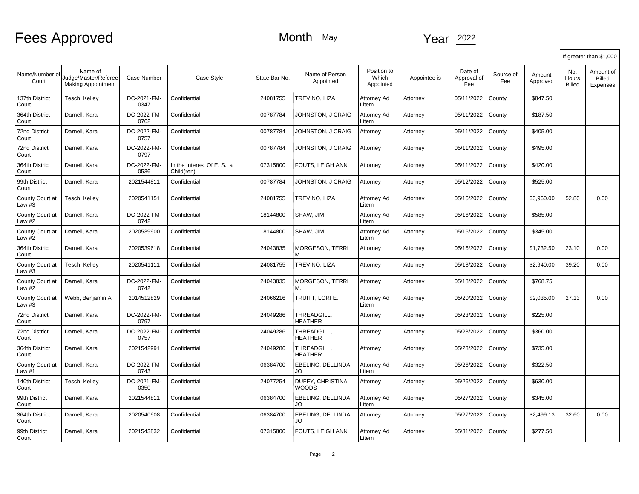|                               |                                                              |                     |                                           |               |                                  |                                   |              |                               |                  |                    |                        | If greater than \$1,000                |
|-------------------------------|--------------------------------------------------------------|---------------------|-------------------------------------------|---------------|----------------------------------|-----------------------------------|--------------|-------------------------------|------------------|--------------------|------------------------|----------------------------------------|
| Name/Number of<br>Court       | Name of<br>Judge/Master/Referee<br><b>Making Appointment</b> | Case Number         | Case Style                                | State Bar No. | Name of Person<br>Appointed      | Position to<br>Which<br>Appointed | Appointee is | Date of<br>Approval of<br>Fee | Source of<br>Fee | Amount<br>Approved | No.<br>Hours<br>Billed | Amount of<br><b>Billed</b><br>Expenses |
| 137th District<br>Court       | Tesch, Kelley                                                | DC-2021-FM-<br>0347 | Confidential                              | 24081755      | TREVINO, LIZA                    | Attorney Ad<br>Litem              | Attorney     | 05/11/2022                    | County           | \$847.50           |                        |                                        |
| 364th District<br>Court       | Darnell, Kara                                                | DC-2022-FM-<br>0762 | Confidential                              | 00787784      | JOHNSTON, J CRAIG                | Attorney Ad<br>Litem              | Attorney     | 05/11/2022                    | County           | \$187.50           |                        |                                        |
| <b>72nd District</b><br>Court | Darnell, Kara                                                | DC-2022-FM-<br>0757 | Confidential                              | 00787784      | JOHNSTON, J CRAIG                | Attorney                          | Attorney     | 05/11/2022                    | County           | \$405.00           |                        |                                        |
| 72nd District<br>Court        | Darnell, Kara                                                | DC-2022-FM-<br>0797 | Confidential                              | 00787784      | JOHNSTON, J CRAIG                | Attorney                          | Attorney     | 05/11/2022                    | County           | \$495.00           |                        |                                        |
| 364th District<br>Court       | Darnell, Kara                                                | DC-2022-FM-<br>0536 | In the Interest Of E. S., a<br>Child(ren) | 07315800      | FOUTS, LEIGH ANN                 | Attorney                          | Attorney     | 05/11/2022                    | County           | \$420.00           |                        |                                        |
| 99th District<br>Court        | Darnell, Kara                                                | 2021544811          | Confidential                              | 00787784      | JOHNSTON, J CRAIG                | Attorney                          | Attorney     | 05/12/2022                    | County           | \$525.00           |                        |                                        |
| County Court at<br>Law #3     | Tesch, Kelley                                                | 2020541151          | Confidential                              | 24081755      | TREVINO, LIZA                    | Attorney Ad<br>Litem              | Attorney     | 05/16/2022                    | County           | \$3,960.00         | 52.80                  | 0.00                                   |
| County Court at<br>Law #2     | Darnell, Kara                                                | DC-2022-FM-<br>0742 | Confidential                              | 18144800      | SHAW, JIM                        | Attorney Ad<br>Litem              | Attorney     | 05/16/2022                    | County           | \$585.00           |                        |                                        |
| County Court at<br>Law #2     | Darnell, Kara                                                | 2020539900          | Confidential                              | 18144800      | SHAW, JIM                        | Attorney Ad<br>Litem              | Attorney     | 05/16/2022                    | County           | \$345.00           |                        |                                        |
| 364th District<br>Court       | Darnell, Kara                                                | 2020539618          | Confidential                              | 24043835      | <b>MORGESON, TERRI</b>           | Attorney                          | Attorney     | 05/16/2022                    | County           | \$1,732.50         | 23.10                  | 0.00                                   |
| County Court at<br>Law #3     | Tesch, Kelley                                                | 2020541111          | Confidential                              | 24081755      | TREVINO, LIZA                    | Attorney                          | Attorney     | 05/18/2022                    | County           | \$2,940.00         | 39.20                  | 0.00                                   |
| County Court at<br>Law #2     | Darnell, Kara                                                | DC-2022-FM-<br>0742 | Confidential                              | 24043835      | <b>MORGESON, TERRI</b><br>М.     | Attorney                          | Attorney     | 05/18/2022                    | County           | \$768.75           |                        |                                        |
| County Court at<br>Law $#3$   | Webb, Benjamin A.                                            | 2014512829          | Confidential                              | 24066216      | TRUITT, LORI E.                  | Attorney Ad<br>Litem              | Attorney     | 05/20/2022                    | County           | \$2,035.00         | 27.13                  | 0.00                                   |
| <b>72nd District</b><br>Court | Darnell, Kara                                                | DC-2022-FM-<br>0797 | Confidential                              | 24049286      | THREADGILL.<br><b>HEATHER</b>    | Attorney                          | Attorney     | 05/23/2022                    | County           | \$225.00           |                        |                                        |
| <b>72nd District</b><br>Court | Darnell, Kara                                                | DC-2022-FM-<br>0757 | Confidential                              | 24049286      | THREADGILL,<br>HEATHER           | Attorney                          | Attorney     | 05/23/2022                    | County           | \$360.00           |                        |                                        |
| 364th District<br>Court       | Darnell, Kara                                                | 2021542991          | Confidential                              | 24049286      | THREADGILL.<br>HEATHER           | Attorney                          | Attorney     | 05/23/2022                    | County           | \$735.00           |                        |                                        |
| County Court at<br>Law #1     | Darnell, Kara                                                | DC-2022-FM-<br>0743 | Confidential                              | 06384700      | <b>EBELING. DELLINDA</b><br>JO   | Attorney Ad<br>Litem              | Attorney     | 05/26/2022                    | County           | \$322.50           |                        |                                        |
| 140th District<br>Court       | Tesch, Kelley                                                | DC-2021-FM-<br>0350 | Confidential                              | 24077254      | DUFFY, CHRISTINA<br><b>WOODS</b> | Attorney                          | Attorney     | 05/26/2022                    | County           | \$630.00           |                        |                                        |
| 99th District<br>Court        | Darnell, Kara                                                | 2021544811          | Confidential                              | 06384700      | EBELING, DELLINDA<br>JO          | Attorney Ad<br>Litem              | Attorney     | 05/27/2022                    | County           | \$345.00           |                        |                                        |
| 364th District<br>Court       | Darnell, Kara                                                | 2020540908          | Confidential                              | 06384700      | EBELING, DELLINDA<br>JO          | Attorney                          | Attorney     | 05/27/2022                    | County           | \$2,499.13         | 32.60                  | 0.00                                   |
| 99th District<br>Court        | Darnell, Kara                                                | 2021543832          | Confidential                              | 07315800      | FOUTS, LEIGH ANN                 | Attorney Ad<br>Litem              | Attorney     | 05/31/2022                    | County           | \$277.50           |                        |                                        |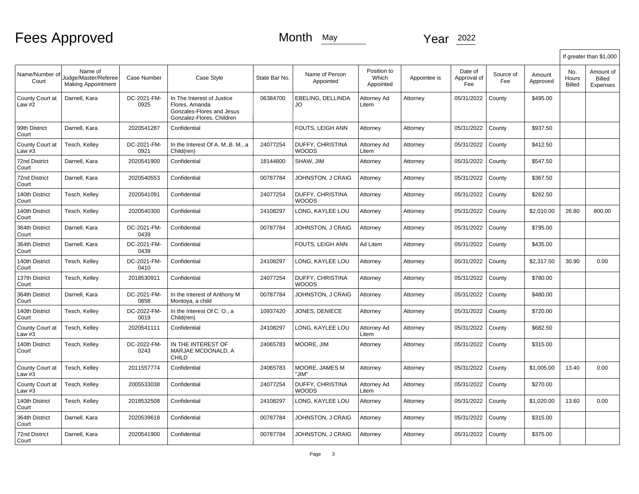# Fees Approved Month May Month May Year 2022

|                               |                                                              |                     |                                                                                                        |               |                                  |                                   |              |                               |                  |                    |                        | If greater than \$1,000         |
|-------------------------------|--------------------------------------------------------------|---------------------|--------------------------------------------------------------------------------------------------------|---------------|----------------------------------|-----------------------------------|--------------|-------------------------------|------------------|--------------------|------------------------|---------------------------------|
| Name/Number of<br>Court       | Name of<br>Judge/Master/Referee<br><b>Making Appointment</b> | Case Number         | Case Style                                                                                             | State Bar No. | Name of Person<br>Appointed      | Position to<br>Which<br>Appointed | Appointee is | Date of<br>Approval of<br>Fee | Source of<br>Fee | Amount<br>Approved | No.<br>Hours<br>Billed | Amount of<br>Billed<br>Expenses |
| County Court at<br>Law #2     | Darnell, Kara                                                | DC-2021-FM-<br>0925 | In The Interest of Justice<br>Flores, Amanda<br>Gonzales-Flores and Jesus<br>Gonzalez-Flores, Children | 06384700      | EBELING, DELLINDA<br>JO          | Attorney Ad<br>Litem              | Attorney     | 05/31/2022                    | County           | \$495.00           |                        |                                 |
| 99th District<br>Court        | Darnell, Kara                                                | 2020541287          | Confidential                                                                                           |               | FOUTS, LEIGH ANN                 | Attorney                          | Attorney     | 05/31/2022                    | County           | \$937.50           |                        |                                 |
| County Court at<br>Law #3     | Tesch, Kelley                                                | DC-2021-FM-<br>0921 | In the Interest Of A. M., B. M., a<br>Child(ren)                                                       | 24077254      | <b>DUFFY, CHRISTINA</b><br>WOODS | Attorney Ad<br>Litem              | Attorney     | 05/31/2022                    | County           | \$412.50           |                        |                                 |
| <b>72nd District</b><br>Court | Darnell, Kara                                                | 2020541900          | Confidential                                                                                           | 18144800      | SHAW, JIM                        | Attorney                          | Attorney     | 05/31/2022                    | County           | \$547.50           |                        |                                 |
| <b>72nd District</b><br>Court | Darnell, Kara                                                | 2020540553          | Confidential                                                                                           | 00787784      | JOHNSTON, J CRAIG                | Attorney                          | Attorney     | 05/31/2022                    | County           | \$367.50           |                        |                                 |
| 140th District<br>Court       | Tesch, Kelley                                                | 2020541091          | Confidential                                                                                           | 24077254      | DUFFY, CHRISTINA<br>WOODS        | Attorney                          | Attorney     | 05/31/2022                    | County           | \$262.50           |                        |                                 |
| 140th District<br>Court       | Tesch, Kelley                                                | 2020540300          | Confidential                                                                                           | 24108297      | LONG, KAYLEE LOU                 | Attorney                          | Attorney     | 05/31/2022                    | County           | \$2,010.00         | 26.80                  | 800.00                          |
| 364th District<br>Court       | Darnell, Kara                                                | DC-2021-FM-<br>0439 | Confidential                                                                                           | 00787784      | JOHNSTON, J CRAIG                | Attorney                          | Attorney     | 05/31/2022                    | County           | \$795.00           |                        |                                 |
| 364th District<br>Court       | Darnell, Kara                                                | DC-2021-FM-<br>0439 | Confidential                                                                                           |               | FOUTS, LEIGH ANN                 | Ad Litem                          | Attorney     | 05/31/2022                    | County           | \$435.00           |                        |                                 |
| 140th District<br>Court       | Tesch, Kelley                                                | DC-2021-FM-<br>0410 | Confidential                                                                                           | 24108297      | LONG, KAYLEE LOU                 | Attorney                          | Attorney     | 05/31/2022                    | County           | \$2,317.50         | 30.90                  | 0.00                            |
| 137th District<br>Court       | Tesch, Kelley                                                | 2018530911          | Confidential                                                                                           | 24077254      | <b>DUFFY, CHRISTINA</b><br>WOODS | Attorney                          | Attorney     | 05/31/2022                    | County           | \$780.00           |                        |                                 |
| 364th District<br>Court       | Darnell, Kara                                                | DC-2021-FM-<br>0858 | In the Interest of Anthony M<br>Montoya, a child                                                       | 00787784      | JOHNSTON, J CRAIG                | Attorney                          | Attorney     | 05/31/2022                    | County           | \$480.00           |                        |                                 |
| 140th District<br>Court       | Tesch, Kelley                                                | DC-2022-FM-<br>0019 | In the Interest Of C. O., a<br>Child(ren)                                                              | 10937420      | JONES. DENIECE                   | Attorney                          | Attorney     | 05/31/2022                    | County           | \$720.00           |                        |                                 |
| County Court at<br>Law #3     | Tesch, Kelley                                                | 2020541111          | Confidential                                                                                           | 24108297      | LONG, KAYLEE LOU                 | Attorney Ad<br>Litem              | Attorney     | 05/31/2022                    | County           | \$682.50           |                        |                                 |
| 140th District<br>Court       | Tesch, Kelley                                                | DC-2022-FM-<br>0243 | IN THE INTEREST OF<br>MARJAE MCDONALD. A<br><b>CHILD</b>                                               | 24065783      | MOORE, JIM                       | Attorney                          | Attorney     | 05/31/2022                    | County           | \$315.00           |                        |                                 |
| County Court at<br>Law #3     | Tesch, Kelley                                                | 2011557774          | Confidential                                                                                           | 24065783      | MOORE, JAMES M<br>"JIM"          | Attorney                          | Attorney     | 05/31/2022                    | County           | \$1,005.00         | 13.40                  | 0.00                            |
| County Court at<br>Law #3     | Tesch, Kelley                                                | 2005533038          | Confidential                                                                                           | 24077254      | DUFFY, CHRISTINA<br><b>WOODS</b> | Attorney Ad<br>Litem              | Attorney     | 05/31/2022                    | County           | \$270.00           |                        |                                 |
| 140th District<br>Court       | Tesch, Kelley                                                | 2018532508          | Confidential                                                                                           | 24108297      | LONG, KAYLEE LOU                 | Attorney                          | Attorney     | 05/31/2022                    | County           | \$1,020.00         | 13.60                  | 0.00                            |
| 364th District<br>Court       | Darnell, Kara                                                | 2020539618          | Confidential                                                                                           | 00787784      | JOHNSTON, J CRAIG                | Attorney                          | Attorney     | 05/31/2022                    | County           | \$315.00           |                        |                                 |
| <b>72nd District</b><br>Court | Darnell, Kara                                                | 2020541900          | Confidential                                                                                           | 00787784      | JOHNSTON, J CRAIG                | Attorney                          | Attorney     | 05/31/2022                    | County           | \$375.00           |                        |                                 |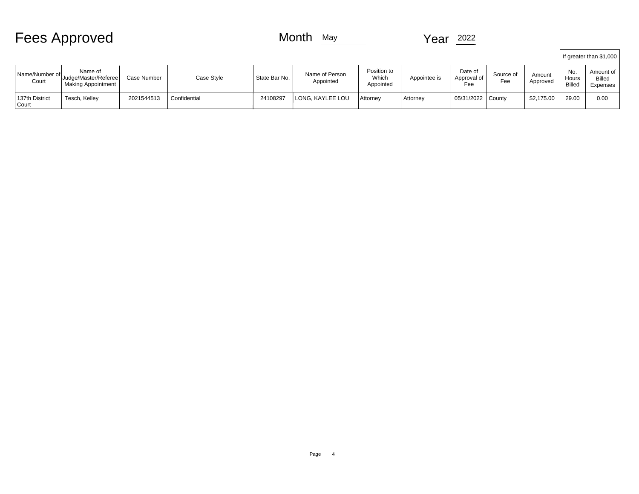|                           | <b>Fees Approved</b>                                         |             |              | Month<br>May  |                             |                                   | 2022<br><b>Year</b> |                               |                  |                    |                               |                                        |
|---------------------------|--------------------------------------------------------------|-------------|--------------|---------------|-----------------------------|-----------------------------------|---------------------|-------------------------------|------------------|--------------------|-------------------------------|----------------------------------------|
|                           |                                                              |             |              |               |                             |                                   |                     |                               |                  |                    |                               | If greater than \$1,000                |
| Name/Number of<br>Court   | Name of<br>Judge/Master/Referee<br><b>Making Appointment</b> | Case Number | Case Style   | State Bar No. | Name of Person<br>Appointed | Position to<br>Which<br>Appointed | Appointee is        | Date of<br>Approval of<br>Fee | Source of<br>Fee | Amount<br>Approved | No.<br>Hours<br><b>Billed</b> | Amount of<br><b>Billed</b><br>Expenses |
| 137th District<br>  Court | Tesch, Kelley                                                | 2021544513  | Confidential | 24108297      | LONG, KAYLEE LOU            | Attorney                          | Attorney            | 05/31/2022 County             |                  | \$2,175.00         | 29.00                         | 0.00                                   |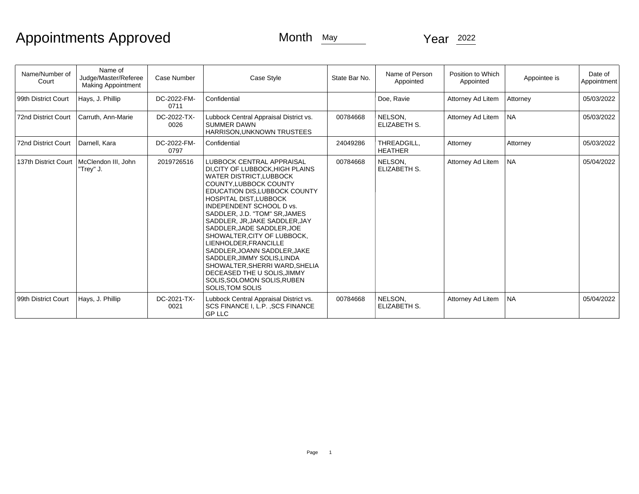| Name/Number of<br>Court    | Name of<br>Judge/Master/Referee<br><b>Making Appointment</b> | Case Number         | Case Style                                                                                                                                                                                                                                                                                                                                                                                                                                                                                                                                                                    | State Bar No. | Name of Person<br>Appointed    | Position to Which<br>Appointed | Appointee is | Date of<br>Appointment |
|----------------------------|--------------------------------------------------------------|---------------------|-------------------------------------------------------------------------------------------------------------------------------------------------------------------------------------------------------------------------------------------------------------------------------------------------------------------------------------------------------------------------------------------------------------------------------------------------------------------------------------------------------------------------------------------------------------------------------|---------------|--------------------------------|--------------------------------|--------------|------------------------|
| 99th District Court        | Hays, J. Phillip                                             | DC-2022-FM-<br>0711 | Confidential                                                                                                                                                                                                                                                                                                                                                                                                                                                                                                                                                                  |               | Doe, Ravie                     | Attorney Ad Litem              | Attorney     | 05/03/2022             |
| <b>72nd District Court</b> | Carruth, Ann-Marie                                           | DC-2022-TX-<br>0026 | Lubbock Central Appraisal District vs.<br><b>SUMMER DAWN</b><br>HARRISON, UNKNOWN TRUSTEES                                                                                                                                                                                                                                                                                                                                                                                                                                                                                    | 00784668      | NELSON.<br>ELIZABETH S.        | Attorney Ad Litem              | NA.          | 05/03/2022             |
| <b>72nd District Court</b> | Darnell. Kara                                                | DC-2022-FM-<br>0797 | Confidential                                                                                                                                                                                                                                                                                                                                                                                                                                                                                                                                                                  | 24049286      | THREADGILL.<br><b>HEATHER</b>  | Attorney                       | Attorney     | 05/03/2022             |
| 137th District Court       | McClendon III, John<br>"Trey" J.                             | 2019726516          | <b>LUBBOCK CENTRAL APPRAISAL</b><br>DI.CITY OF LUBBOCK.HIGH PLAINS<br><b>WATER DISTRICT, LUBBOCK</b><br><b>COUNTY.LUBBOCK COUNTY</b><br>EDUCATION DIS, LUBBOCK COUNTY<br>HOSPITAL DIST, LUBBOCK<br><b>INDEPENDENT SCHOOL D vs.</b><br>SADDLER, J.D. "TOM" SR, JAMES<br>SADDLER, JR, JAKE SADDLER, JAY<br>SADDLER, JADE SADDLER, JOE<br>SHOWALTER, CITY OF LUBBOCK,<br>LIENHOLDER, FRANCILLE<br>SADDLER, JOANN SADDLER, JAKE<br>SADDLER, JIMMY SOLIS, LINDA<br>SHOWALTER, SHERRI WARD, SHELIA<br>DECEASED THE U SOLIS, JIMMY<br>SOLIS, SOLOMON SOLIS, RUBEN<br>SOLIS.TOM SOLIS | 00784668      | NELSON.<br><b>ELIZABETH S.</b> | Attorney Ad Litem              | NA.          | 05/04/2022             |
| 99th District Court        | Hays, J. Phillip                                             | DC-2021-TX-<br>0021 | Lubbock Central Appraisal District vs.<br>SCS FINANCE I, L.P. , SCS FINANCE<br><b>GP LLC</b>                                                                                                                                                                                                                                                                                                                                                                                                                                                                                  | 00784668      | NELSON,<br>ELIZABETH S.        | Attorney Ad Litem              | NA.          | 05/04/2022             |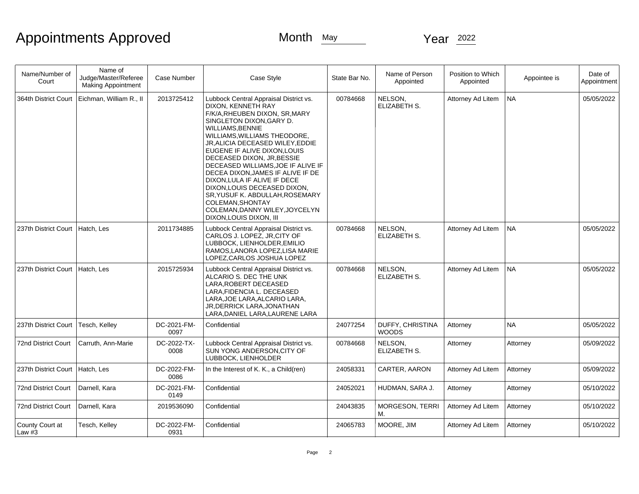| Name/Number of<br>Court           | Name of<br>Judge/Master/Referee<br><b>Making Appointment</b> | Case Number         | Case Style                                                                                                                                                                                                                                                                                                                                                                                                                                                                                                                                            | State Bar No. | Name of Person<br>Appointed      | Position to Which<br>Appointed | Appointee is | Date of<br>Appointment |
|-----------------------------------|--------------------------------------------------------------|---------------------|-------------------------------------------------------------------------------------------------------------------------------------------------------------------------------------------------------------------------------------------------------------------------------------------------------------------------------------------------------------------------------------------------------------------------------------------------------------------------------------------------------------------------------------------------------|---------------|----------------------------------|--------------------------------|--------------|------------------------|
| 364th District Court              | Eichman, William R., II                                      | 2013725412          | Lubbock Central Appraisal District vs.<br>DIXON, KENNETH RAY<br>F/K/A, RHEUBEN DIXON, SR, MARY<br>SINGLETON DIXON, GARY D.<br><b>WILLIAMS, BENNIE</b><br>WILLIAMS, WILLIAMS THEODORE,<br>JR, ALICIA DECEASED WILEY, EDDIE<br>EUGENE IF ALIVE DIXON.LOUIS<br>DECEASED DIXON, JR, BESSIE<br>DECEASED WILLIAMS, JOE IF ALIVE IF<br>DECEA DIXON, JAMES IF ALIVE IF DE<br>DIXON, LULA IF ALIVE IF DECE<br>DIXON, LOUIS DECEASED DIXON,<br>SR, YUSUF K. ABDULLAH, ROSEMARY<br>COLEMAN, SHONTAY<br>COLEMAN, DANNY WILEY, JOYCELYN<br>DIXON, LOUIS DIXON, III | 00784668      | NELSON,<br>ELIZABETH S.          | Attorney Ad Litem              | NA           | 05/05/2022             |
| 237th District Court              | Hatch, Les                                                   | 2011734885          | Lubbock Central Appraisal District vs.<br>CARLOS J. LOPEZ, JR, CITY OF<br>LUBBOCK, LIENHOLDER, EMILIO<br>RAMOS, LANORA LOPEZ, LISA MARIE<br>LOPEZ, CARLOS JOSHUA LOPEZ                                                                                                                                                                                                                                                                                                                                                                                | 00784668      | NELSON,<br>ELIZABETH S.          | Attorney Ad Litem              | INA.         | 05/05/2022             |
| 237th District Court   Hatch, Les |                                                              | 2015725934          | Lubbock Central Appraisal District vs.<br>ALCARIO S. DEC THE UNK<br>LARA, ROBERT DECEASED<br>LARA,FIDENCIA L. DECEASED<br>LARA, JOE LARA, ALCARIO LARA,<br>JR, DERRICK LARA, JONATHAN<br>LARA, DANIEL LARA, LAURENE LARA                                                                                                                                                                                                                                                                                                                              | 00784668      | NELSON,<br><b>ELIZABETH S.</b>   | Attorney Ad Litem              | NA           | 05/05/2022             |
| 237th District Court              | Tesch, Kelley                                                | DC-2021-FM-<br>0097 | Confidential                                                                                                                                                                                                                                                                                                                                                                                                                                                                                                                                          | 24077254      | DUFFY, CHRISTINA<br><b>WOODS</b> | Attorney                       | <b>NA</b>    | 05/05/2022             |
| 72nd District Court               | Carruth, Ann-Marie                                           | DC-2022-TX-<br>0008 | Lubbock Central Appraisal District vs.<br>SUN YONG ANDERSON, CITY OF<br>LUBBOCK, LIENHOLDER                                                                                                                                                                                                                                                                                                                                                                                                                                                           | 00784668      | NELSON,<br>ELIZABETH S.          | Attorney                       | Attorney     | 05/09/2022             |
| 237th District Court   Hatch, Les |                                                              | DC-2022-FM-<br>0086 | In the Interest of K. K., a Child(ren)                                                                                                                                                                                                                                                                                                                                                                                                                                                                                                                | 24058331      | CARTER, AARON                    | Attorney Ad Litem              | Attorney     | 05/09/2022             |
| 72nd District Court               | Darnell, Kara                                                | DC-2021-FM-<br>0149 | Confidential                                                                                                                                                                                                                                                                                                                                                                                                                                                                                                                                          | 24052021      | HUDMAN, SARA J.                  | Attorney                       | Attorney     | 05/10/2022             |
| 72nd District Court               | Darnell, Kara                                                | 2019536090          | Confidential                                                                                                                                                                                                                                                                                                                                                                                                                                                                                                                                          | 24043835      | MORGESON, TERRI<br>M.            | Attorney Ad Litem              | Attorney     | 05/10/2022             |
| County Court at<br>Law $#3$       | Tesch, Kelley                                                | DC-2022-FM-<br>0931 | Confidential                                                                                                                                                                                                                                                                                                                                                                                                                                                                                                                                          | 24065783      | MOORE, JIM                       | Attorney Ad Litem              | Attorney     | 05/10/2022             |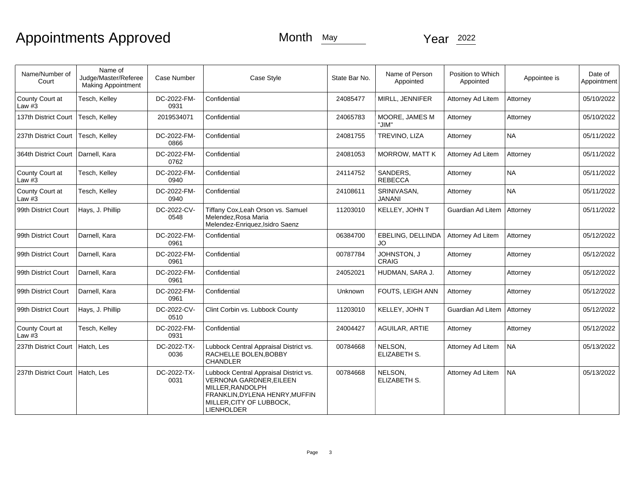| Name/Number of<br>Court     | Name of<br>Judge/Master/Referee<br><b>Making Appointment</b> | <b>Case Number</b>  | Case Style                                                                                                                                                                      | State Bar No. | Name of Person<br>Appointed  | Position to Which<br>Appointed | Appointee is | Date of<br>Appointment |
|-----------------------------|--------------------------------------------------------------|---------------------|---------------------------------------------------------------------------------------------------------------------------------------------------------------------------------|---------------|------------------------------|--------------------------------|--------------|------------------------|
| County Court at<br>Law $#3$ | Tesch, Kelley                                                | DC-2022-FM-<br>0931 | Confidential                                                                                                                                                                    | 24085477      | MIRLL, JENNIFER              | <b>Attorney Ad Litem</b>       | Attorney     | 05/10/2022             |
| 137th District Court        | Tesch, Kelley                                                | 2019534071          | Confidential                                                                                                                                                                    | 24065783      | MOORE, JAMES M<br>"JIM"      | Attorney                       | Attorney     | 05/10/2022             |
| 237th District Court        | Tesch, Kelley                                                | DC-2022-FM-<br>0866 | Confidential                                                                                                                                                                    | 24081755      | TREVINO, LIZA                | Attorney                       | <b>NA</b>    | 05/11/2022             |
| 364th District Court        | Darnell, Kara                                                | DC-2022-FM-<br>0762 | Confidential                                                                                                                                                                    | 24081053      | <b>MORROW, MATT K</b>        | Attorney Ad Litem              | Attorney     | 05/11/2022             |
| County Court at<br>Law $#3$ | Tesch, Kelley                                                | DC-2022-FM-<br>0940 | Confidential                                                                                                                                                                    | 24114752      | SANDERS.<br><b>REBECCA</b>   | Attorney                       | <b>NA</b>    | 05/11/2022             |
| County Court at<br>Law $#3$ | Tesch, Kelley                                                | DC-2022-FM-<br>0940 | Confidential                                                                                                                                                                    | 24108611      | SRINIVASAN,<br><b>JANANI</b> | Attorney                       | <b>NA</b>    | 05/11/2022             |
| 99th District Court         | Hays, J. Phillip                                             | DC-2022-CV-<br>0548 | Tiffany Cox, Leah Orson vs. Samuel<br>Melendez, Rosa Maria<br>Melendez-Enriquez, Isidro Saenz                                                                                   | 11203010      | KELLEY, JOHN T               | Guardian Ad Litem   Attorney   |              | 05/11/2022             |
| 99th District Court         | Darnell, Kara                                                | DC-2022-FM-<br>0961 | Confidential                                                                                                                                                                    | 06384700      | EBELING, DELLINDA<br>JO.     | Attorney Ad Litem              | Attorney     | 05/12/2022             |
| 99th District Court         | Darnell, Kara                                                | DC-2022-FM-<br>0961 | Confidential                                                                                                                                                                    | 00787784      | JOHNSTON, J<br><b>CRAIG</b>  | Attorney                       | Attorney     | 05/12/2022             |
| 99th District Court         | Darnell, Kara                                                | DC-2022-FM-<br>0961 | Confidential                                                                                                                                                                    | 24052021      | HUDMAN, SARA J.              | Attorney                       | Attorney     | 05/12/2022             |
| 99th District Court         | Darnell, Kara                                                | DC-2022-FM-<br>0961 | Confidential                                                                                                                                                                    | Unknown       | FOUTS, LEIGH ANN             | Attorney                       | Attorney     | 05/12/2022             |
| 99th District Court         | Hays, J. Phillip                                             | DC-2022-CV-<br>0510 | Clint Corbin vs. Lubbock County                                                                                                                                                 | 11203010      | KELLEY, JOHN T               | Guardian Ad Litem              | Attorney     | 05/12/2022             |
| County Court at<br>Law $#3$ | Tesch, Kelley                                                | DC-2022-FM-<br>0931 | Confidential                                                                                                                                                                    | 24004427      | AGUILAR, ARTIE               | Attorney                       | Attorney     | 05/12/2022             |
| 237th District Court        | Hatch, Les                                                   | DC-2022-TX-<br>0036 | Lubbock Central Appraisal District vs.<br>RACHELLE BOLEN, BOBBY<br><b>CHANDLER</b>                                                                                              | 00784668      | NELSON,<br>ELIZABETH S.      | Attorney Ad Litem              | <b>NA</b>    | 05/13/2022             |
| 237th District Court        | Hatch, Les                                                   | DC-2022-TX-<br>0031 | Lubbock Central Appraisal District vs.<br><b>VERNONA GARDNER, EILEEN</b><br>MILLER, RANDOLPH<br>FRANKLIN, DYLENA HENRY, MUFFIN<br>MILLER, CITY OF LUBBOCK,<br><b>LIENHOLDER</b> | 00784668      | NELSON.<br>ELIZABETH S.      | Attorney Ad Litem              | <b>NA</b>    | 05/13/2022             |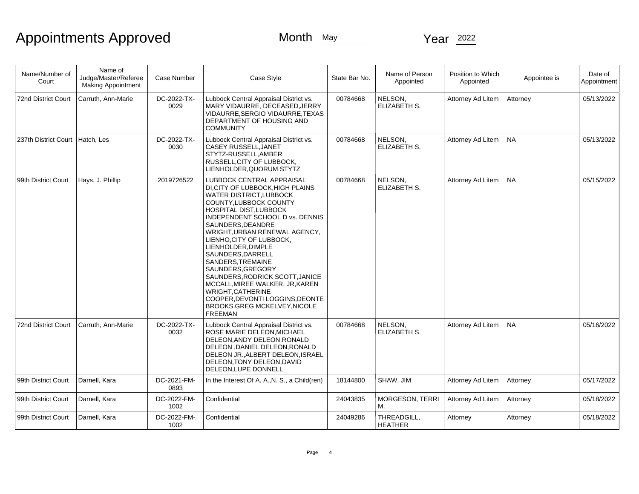| Name/Number of<br>Court    | Name of<br>Judge/Master/Referee<br><b>Making Appointment</b> | <b>Case Number</b>  | Case Style                                                                                                                                                                                                                                                                                                                                                                                                                                                                                                                                     | State Bar No. | Name of Person<br>Appointed   | Position to Which<br>Appointed | Appointee is | Date of<br>Appointment |
|----------------------------|--------------------------------------------------------------|---------------------|------------------------------------------------------------------------------------------------------------------------------------------------------------------------------------------------------------------------------------------------------------------------------------------------------------------------------------------------------------------------------------------------------------------------------------------------------------------------------------------------------------------------------------------------|---------------|-------------------------------|--------------------------------|--------------|------------------------|
| <b>72nd District Court</b> | Carruth, Ann-Marie                                           | DC-2022-TX-<br>0029 | Lubbock Central Appraisal District vs.<br>MARY VIDAURRE, DECEASED, JERRY<br>VIDAURRE.SERGIO VIDAURRE.TEXAS<br>DEPARTMENT OF HOUSING AND<br><b>COMMUNITY</b>                                                                                                                                                                                                                                                                                                                                                                                    | 00784668      | NELSON,<br>ELIZABETH S.       | Attorney Ad Litem              | Attorney     | 05/13/2022             |
| 237th District Court       | Hatch, Les                                                   | DC-2022-TX-<br>0030 | Lubbock Central Appraisal District vs.<br>CASEY RUSSELL, JANET<br>STYTZ-RUSSELL, AMBER<br>RUSSELL, CITY OF LUBBOCK,<br>LIENHOLDER, QUORUM STYTZ                                                                                                                                                                                                                                                                                                                                                                                                | 00784668      | NELSON,<br>ELIZABETH S.       | Attorney Ad Litem              | <b>NA</b>    | 05/13/2022             |
| 99th District Court        | Hays, J. Phillip                                             | 2019726522          | LUBBOCK CENTRAL APPRAISAL<br>DI, CITY OF LUBBOCK, HIGH PLAINS<br><b>WATER DISTRICT, LUBBOCK</b><br>COUNTY, LUBBOCK COUNTY<br>HOSPITAL DIST, LUBBOCK<br>INDEPENDENT SCHOOL D vs. DENNIS<br>SAUNDERS, DEANDRE<br>WRIGHT, URBAN RENEWAL AGENCY,<br>LIENHO, CITY OF LUBBOCK,<br>LIENHOLDER, DIMPLE<br>SAUNDERS, DARRELL<br>SANDERS, TREMAINE<br>SAUNDERS, GREGORY<br>SAUNDERS, RODRICK SCOTT, JANICE<br>MCCALL, MIREE WALKER, JR, KAREN<br>WRIGHT, CATHERINE<br>COOPER, DEVONTI LOGGINS, DEONTE<br>BROOKS, GREG MCKELVEY, NICOLE<br><b>FREEMAN</b> | 00784668      | NELSON,<br>ELIZABETH S.       | Attorney Ad Litem              | NA.          | 05/15/2022             |
| 72nd District Court        | Carruth, Ann-Marie                                           | DC-2022-TX-<br>0032 | Lubbock Central Appraisal District vs.<br>ROSE MARIE DELEON, MICHAEL<br>DELEON, ANDY DELEON, RONALD<br>DELEON , DANIEL DELEON, RONALD<br>DELEON JR., ALBERT DELEON, ISRAEL<br>DELEON.TONY DELEON.DAVID<br>DELEON, LUPE DONNELL                                                                                                                                                                                                                                                                                                                 | 00784668      | NELSON,<br>ELIZABETH S.       | Attorney Ad Litem              | NA           | 05/16/2022             |
| 99th District Court        | Darnell, Kara                                                | DC-2021-FM-<br>0893 | In the Interest Of A. A., N. S., a Child(ren)                                                                                                                                                                                                                                                                                                                                                                                                                                                                                                  | 18144800      | SHAW, JIM                     | Attorney Ad Litem              | Attorney     | 05/17/2022             |
| 99th District Court        | Darnell, Kara                                                | DC-2022-FM-<br>1002 | Confidential                                                                                                                                                                                                                                                                                                                                                                                                                                                                                                                                   | 24043835      | <b>MORGESON, TERRI</b><br>М.  | Attorney Ad Litem              | Attorney     | 05/18/2022             |
| 99th District Court        | Darnell, Kara                                                | DC-2022-FM-<br>1002 | Confidential                                                                                                                                                                                                                                                                                                                                                                                                                                                                                                                                   | 24049286      | THREADGILL,<br><b>HEATHER</b> | Attorney                       | Attorney     | 05/18/2022             |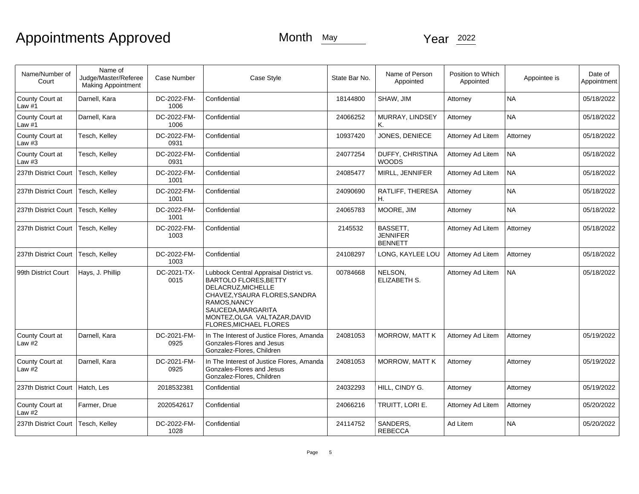| Name/Number of<br>Court           | Name of<br>Judge/Master/Referee<br><b>Making Appointment</b> | Case Number         | Case Style                                                                                                                                                                                                                          | State Bar No. | Name of Person<br>Appointed                          | Position to Which<br>Appointed | Appointee is | Date of<br>Appointment |
|-----------------------------------|--------------------------------------------------------------|---------------------|-------------------------------------------------------------------------------------------------------------------------------------------------------------------------------------------------------------------------------------|---------------|------------------------------------------------------|--------------------------------|--------------|------------------------|
| County Court at<br>Law #1         | Darnell, Kara                                                | DC-2022-FM-<br>1006 | Confidential                                                                                                                                                                                                                        | 18144800      | SHAW, JIM                                            | Attorney                       | <b>NA</b>    | 05/18/2022             |
| County Court at<br>Law $#1$       | Darnell, Kara                                                | DC-2022-FM-<br>1006 | Confidential                                                                                                                                                                                                                        | 24066252      | MURRAY, LINDSEY<br>Κ.                                | Attorney                       | <b>NA</b>    | 05/18/2022             |
| County Court at<br>Law $#3$       | Tesch, Kelley                                                | DC-2022-FM-<br>0931 | Confidential                                                                                                                                                                                                                        | 10937420      | JONES, DENIECE                                       | Attorney Ad Litem              | Attorney     | 05/18/2022             |
| County Court at<br>Law $#3$       | Tesch, Kelley                                                | DC-2022-FM-<br>0931 | Confidential                                                                                                                                                                                                                        | 24077254      | DUFFY, CHRISTINA<br><b>WOODS</b>                     | Attorney Ad Litem              | NA.          | 05/18/2022             |
| 237th District Court              | Tesch, Kelley                                                | DC-2022-FM-<br>1001 | Confidential                                                                                                                                                                                                                        | 24085477      | MIRLL, JENNIFER                                      | Attorney Ad Litem              | NA.          | 05/18/2022             |
| 237th District Court              | Tesch, Kelley                                                | DC-2022-FM-<br>1001 | Confidential                                                                                                                                                                                                                        | 24090690      | RATLIFF, THERESA<br>Η.                               | Attorney                       | <b>NA</b>    | 05/18/2022             |
| 237th District Court              | Tesch, Kelley                                                | DC-2022-FM-<br>1001 | Confidential                                                                                                                                                                                                                        | 24065783      | MOORE, JIM                                           | Attorney                       | <b>NA</b>    | 05/18/2022             |
| 237th District Court              | Tesch, Kelley                                                | DC-2022-FM-<br>1003 | Confidential                                                                                                                                                                                                                        | 2145532       | <b>BASSETT.</b><br><b>JENNIFER</b><br><b>BENNETT</b> | Attorney Ad Litem              | Attorney     | 05/18/2022             |
| 237th District Court              | Tesch, Kelley                                                | DC-2022-FM-<br>1003 | Confidential                                                                                                                                                                                                                        | 24108297      | LONG. KAYLEE LOU                                     | Attorney Ad Litem              | Attorney     | 05/18/2022             |
| 99th District Court               | Hays, J. Phillip                                             | DC-2021-TX-<br>0015 | Lubbock Central Appraisal District vs.<br><b>BARTOLO FLORES.BETTY</b><br>DELACRUZ, MICHELLE<br>CHAVEZ, YSAURA FLORES, SANDRA<br>RAMOS, NANCY<br>SAUCEDA, MARGARITA<br>MONTEZ, OLGA VALTAZAR, DAVID<br><b>FLORES, MICHAEL FLORES</b> | 00784668      | NELSON,<br>ELIZABETH S.                              | Attorney Ad Litem              | <b>NA</b>    | 05/18/2022             |
| County Court at<br>Law $#2$       | Darnell, Kara                                                | DC-2021-FM-<br>0925 | In The Interest of Justice Flores, Amanda<br>Gonzales-Flores and Jesus<br>Gonzalez-Flores, Children                                                                                                                                 | 24081053      | <b>MORROW, MATT K</b>                                | Attorney Ad Litem              | Attorney     | 05/19/2022             |
| County Court at<br>Law $#2$       | Darnell, Kara                                                | DC-2021-FM-<br>0925 | In The Interest of Justice Flores, Amanda<br>Gonzales-Flores and Jesus<br>Gonzalez-Flores, Children                                                                                                                                 | 24081053      | <b>MORROW, MATT K</b>                                | Attorney                       | Attorney     | 05/19/2022             |
| 237th District Court   Hatch, Les |                                                              | 2018532381          | Confidential                                                                                                                                                                                                                        | 24032293      | HILL, CINDY G.                                       | Attorney                       | Attorney     | 05/19/2022             |
| County Court at<br>Law $#2$       | Farmer, Drue                                                 | 2020542617          | Confidential                                                                                                                                                                                                                        | 24066216      | TRUITT, LORI E.                                      | Attorney Ad Litem              | Attorney     | 05/20/2022             |
| 237th District Court              | Tesch, Kelley                                                | DC-2022-FM-<br>1028 | Confidential                                                                                                                                                                                                                        | 24114752      | SANDERS,<br><b>REBECCA</b>                           | Ad Litem                       | <b>NA</b>    | 05/20/2022             |